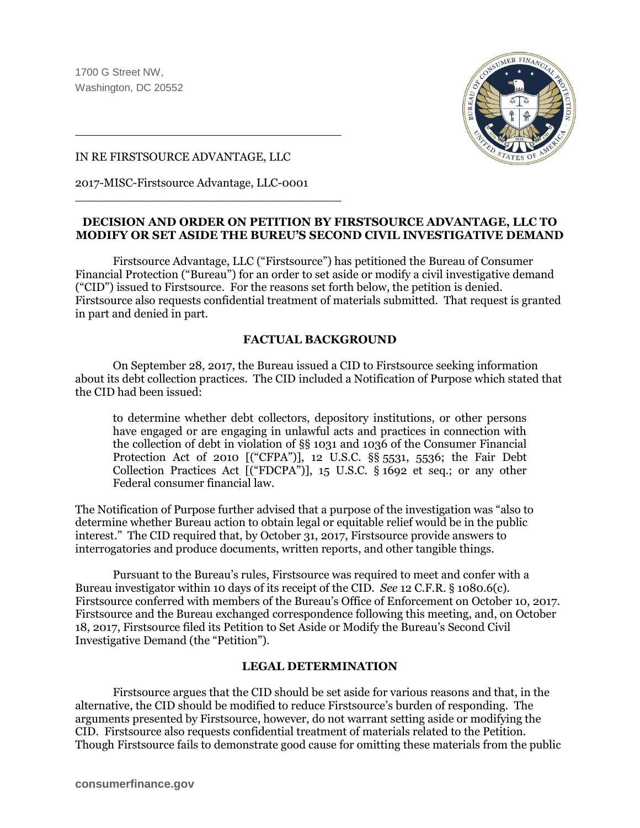

#### IN RE FIRSTSOURCE ADVANTAGE, LLC

2017-MISC-Firstsource Advantage, LLC-0001

\_\_\_\_\_\_\_\_\_\_\_\_\_\_\_\_\_\_\_\_\_\_\_\_\_\_\_\_\_\_\_\_\_\_\_\_

\_\_\_\_\_\_\_\_\_\_\_\_\_\_\_\_\_\_\_\_\_\_\_\_\_\_\_\_\_\_\_\_\_\_\_\_

## **DECISION AND ORDER ON PETITION BY FIRSTSOURCE ADVANTAGE, LLC TO MODIFY OR SET ASIDE THE BUREU'S SECOND CIVIL INVESTIGATIVE DEMAND**

Firstsource Advantage, LLC ("Firstsource") has petitioned the Bureau of Consumer Financial Protection ("Bureau") for an order to set aside or modify a civil investigative demand ("CID") issued to Firstsource. For the reasons set forth below, the petition is denied. Firstsource also requests confidential treatment of materials submitted. That request is granted in part and denied in part.

# **FACTUAL BACKGROUND**

On September 28, 2017, the Bureau issued a CID to Firstsource seeking information about its debt collection practices. The CID included a Notification of Purpose which stated that the CID had been issued:

to determine whether debt collectors, depository institutions, or other persons have engaged or are engaging in unlawful acts and practices in connection with the collection of debt in violation of §§ 1031 and 1036 of the Consumer Financial Protection Act of 2010 [("CFPA")], 12 U.S.C. §§ 5531, 5536; the Fair Debt Collection Practices Act [("FDCPA")], 15 U.S.C. § 1692 et seq.; or any other Federal consumer financial law.

The Notification of Purpose further advised that a purpose of the investigation was "also to determine whether Bureau action to obtain legal or equitable relief would be in the public interest." The CID required that, by October 31, 2017, Firstsource provide answers to interrogatories and produce documents, written reports, and other tangible things.

Pursuant to the Bureau's rules, Firstsource was required to meet and confer with a Bureau investigator within 10 days of its receipt of the CID. *See* 12 C.F.R. § 1080.6(c). Firstsource conferred with members of the Bureau's Office of Enforcement on October 10, 2017. Firstsource and the Bureau exchanged correspondence following this meeting, and, on October 18, 2017, Firstsource filed its Petition to Set Aside or Modify the Bureau's Second Civil Investigative Demand (the "Petition").

## **LEGAL DETERMINATION**

Firstsource argues that the CID should be set aside for various reasons and that, in the alternative, the CID should be modified to reduce Firstsource's burden of responding. The arguments presented by Firstsource, however, do not warrant setting aside or modifying the CID. Firstsource also requests confidential treatment of materials related to the Petition. Though Firstsource fails to demonstrate good cause for omitting these materials from the public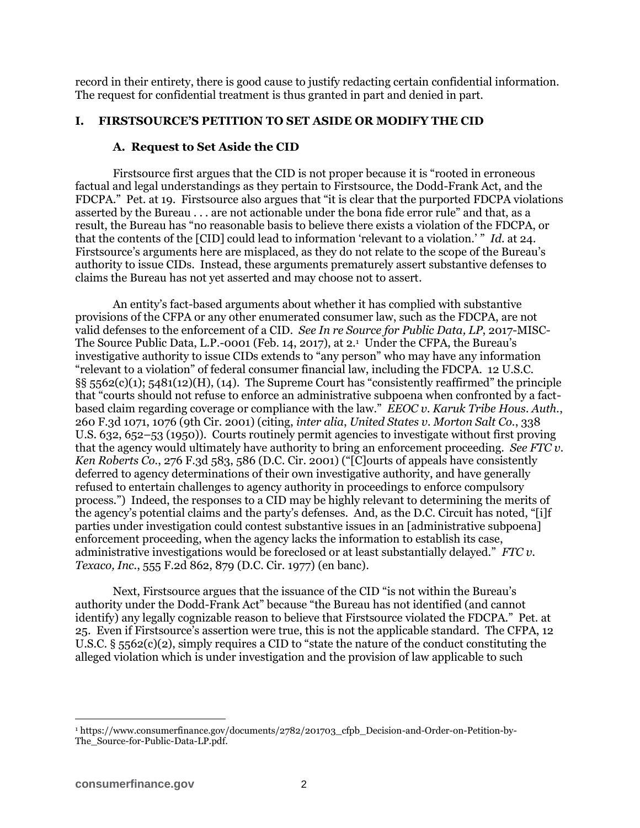record in their entirety, there is good cause to justify redacting certain confidential information. The request for confidential treatment is thus granted in part and denied in part.

## **I. FIRSTSOURCE'S PETITION TO SET ASIDE OR MODIFY THE CID**

#### **A. Request to Set Aside the CID**

Firstsource first argues that the CID is not proper because it is "rooted in erroneous factual and legal understandings as they pertain to Firstsource, the Dodd-Frank Act, and the FDCPA." Pet. at 19. Firstsource also argues that "it is clear that the purported FDCPA violations asserted by the Bureau . . . are not actionable under the bona fide error rule" and that, as a result, the Bureau has "no reasonable basis to believe there exists a violation of the FDCPA, or that the contents of the [CID] could lead to information 'relevant to a violation.' " *Id.* at 24. Firstsource's arguments here are misplaced, as they do not relate to the scope of the Bureau's authority to issue CIDs. Instead, these arguments prematurely assert substantive defenses to claims the Bureau has not yet asserted and may choose not to assert.

An entity's fact-based arguments about whether it has complied with substantive provisions of the CFPA or any other enumerated consumer law, such as the FDCPA, are not valid defenses to the enforcement of a CID. *See In re Source for Public Data, LP*, 2017-MISC-The Source Public Data, L.P.-0001 (Feb. 14, 2017), at 2. 1 Under the CFPA, the Bureau's investigative authority to issue CIDs extends to "any person" who may have any information "relevant to a violation" of federal consumer financial law, including the FDCPA. 12 U.S.C.  $\S$ § 5562(c)(1); 5481(12)(H), (14). The Supreme Court has "consistently reaffirmed" the principle that "courts should not refuse to enforce an administrative subpoena when confronted by a factbased claim regarding coverage or compliance with the law." *EEOC v. Karuk Tribe Hous. Auth.*, 260 F.3d 1071, 1076 (9th Cir. 2001) (citing, *inter alia*, *United States v. Morton Salt Co.*, 338 U.S. 632, 652–53 (1950)). Courts routinely permit agencies to investigate without first proving that the agency would ultimately have authority to bring an enforcement proceeding. *See FTC v. Ken Roberts Co.*, 276 F.3d 583, 586 (D.C. Cir. 2001) ("[C]ourts of appeals have consistently deferred to agency determinations of their own investigative authority, and have generally refused to entertain challenges to agency authority in proceedings to enforce compulsory process.") Indeed, the responses to a CID may be highly relevant to determining the merits of the agency's potential claims and the party's defenses. And, as the D.C. Circuit has noted, "[i]f parties under investigation could contest substantive issues in an [administrative subpoena] enforcement proceeding, when the agency lacks the information to establish its case, administrative investigations would be foreclosed or at least substantially delayed." *FTC v. Texaco, Inc.*, 555 F.2d 862, 879 (D.C. Cir. 1977) (en banc).

Next, Firstsource argues that the issuance of the CID "is not within the Bureau's authority under the Dodd-Frank Act" because "the Bureau has not identified (and cannot identify) any legally cognizable reason to believe that Firstsource violated the FDCPA." Pet. at 25. Even if Firstsource's assertion were true, this is not the applicable standard. The CFPA, 12 U.S.C. § 5562(c)(2), simply requires a CID to "state the nature of the conduct constituting the alleged violation which is under investigation and the provision of law applicable to such

<sup>1</sup> https://www.consumerfinance.gov/documents/2782/201703\_cfpb\_Decision-and-Order-on-Petition-by-The\_Source-for-Public-Data-LP.pdf.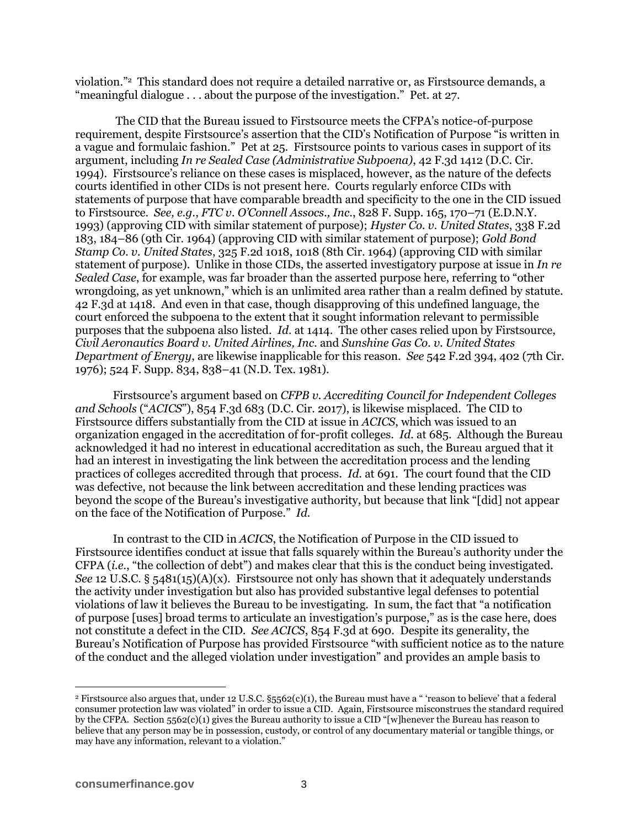violation."<sup>2</sup> This standard does not require a detailed narrative or, as Firstsource demands, a "meaningful dialogue . . . about the purpose of the investigation." Pet. at 27.

The CID that the Bureau issued to Firstsource meets the CFPA's notice-of-purpose requirement, despite Firstsource's assertion that the CID's Notification of Purpose "is written in a vague and formulaic fashion." Pet at 25. Firstsource points to various cases in support of its argument, including *In re Sealed Case (Administrative Subpoena)*, 42 F.3d 1412 (D.C. Cir. 1994). Firstsource's reliance on these cases is misplaced, however, as the nature of the defects courts identified in other CIDs is not present here. Courts regularly enforce CIDs with statements of purpose that have comparable breadth and specificity to the one in the CID issued to Firstsource. *See, e.g.*, *FTC v. O'Connell Assocs., Inc.*, 828 F. Supp. 165, 170–71 (E.D.N.Y. 1993) (approving CID with similar statement of purpose); *Hyster Co. v. United States*, 338 F.2d 183, 184–86 (9th Cir. 1964) (approving CID with similar statement of purpose); *Gold Bond Stamp Co. v. United States*, 325 F.2d 1018, 1018 (8th Cir. 1964) (approving CID with similar statement of purpose). Unlike in those CIDs, the asserted investigatory purpose at issue in *In re Sealed Case*, for example, was far broader than the asserted purpose here, referring to "other wrongdoing, as yet unknown," which is an unlimited area rather than a realm defined by statute. 42 F.3d at 1418. And even in that case, though disapproving of this undefined language, the court enforced the subpoena to the extent that it sought information relevant to permissible purposes that the subpoena also listed. *Id.* at 1414. The other cases relied upon by Firstsource, *Civil Aeronautics Board v. United Airlines, Inc.* and *Sunshine Gas Co. v. United States Department of Energy*, are likewise inapplicable for this reason. *See* 542 F.2d 394, 402 (7th Cir. 1976); 524 F. Supp. 834, 838–41 (N.D. Tex. 1981).

Firstsource's argument based on *CFPB v. Accrediting Council for Independent Colleges and Schools* ("*ACICS*"), 854 F.3d 683 (D.C. Cir. 2017), is likewise misplaced. The CID to Firstsource differs substantially from the CID at issue in *ACICS*, which was issued to an organization engaged in the accreditation of for-profit colleges. *Id.* at 685. Although the Bureau acknowledged it had no interest in educational accreditation as such, the Bureau argued that it had an interest in investigating the link between the accreditation process and the lending practices of colleges accredited through that process. *Id.* at 691. The court found that the CID was defective, not because the link between accreditation and these lending practices was beyond the scope of the Bureau's investigative authority, but because that link "[did] not appear on the face of the Notification of Purpose." *Id.*

In contrast to the CID in *ACICS*, the Notification of Purpose in the CID issued to Firstsource identifies conduct at issue that falls squarely within the Bureau's authority under the CFPA (*i.e.*, "the collection of debt") and makes clear that this is the conduct being investigated. *See* 12 U.S.C. § 5481(15)(A)(x). First source not only has shown that it adequately understands the activity under investigation but also has provided substantive legal defenses to potential violations of law it believes the Bureau to be investigating. In sum, the fact that "a notification of purpose [uses] broad terms to articulate an investigation's purpose," as is the case here, does not constitute a defect in the CID. *See ACICS*, 854 F.3d at 690. Despite its generality, the Bureau's Notification of Purpose has provided Firstsource "with sufficient notice as to the nature of the conduct and the alleged violation under investigation" and provides an ample basis to

<sup>&</sup>lt;sup>2</sup> Firstsource also argues that, under 12 U.S.C.  $\S5562(c)(1)$ , the Bureau must have a " 'reason to believe' that a federal consumer protection law was violated" in order to issue a CID. Again, Firstsource misconstrues the standard required by the CFPA. Section 5562(c)(1) gives the Bureau authority to issue a CID "[w]henever the Bureau has reason to believe that any person may be in possession, custody, or control of any documentary material or tangible things, or may have any information, relevant to a violation."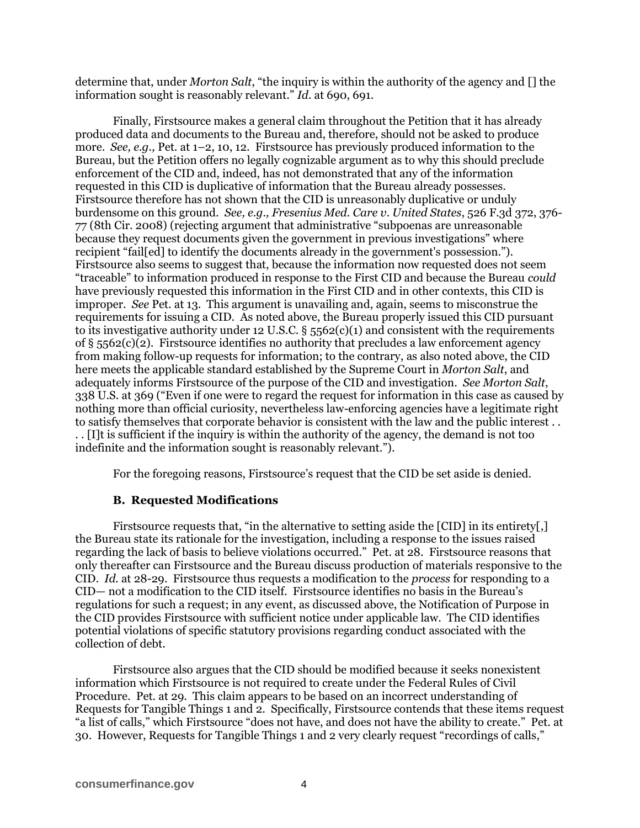determine that, under *Morton Salt*, "the inquiry is within the authority of the agency and [] the information sought is reasonably relevant." *Id.* at 690, 691.

Finally, Firstsource makes a general claim throughout the Petition that it has already produced data and documents to the Bureau and, therefore, should not be asked to produce more. *See, e.g.,* Pet. at 1–2, 10, 12. Firstsource has previously produced information to the Bureau, but the Petition offers no legally cognizable argument as to why this should preclude enforcement of the CID and, indeed, has not demonstrated that any of the information requested in this CID is duplicative of information that the Bureau already possesses. Firstsource therefore has not shown that the CID is unreasonably duplicative or unduly burdensome on this ground. *See, e.g., Fresenius Med. Care v. United States*, 526 F.3d 372, 376- 77 (8th Cir. 2008) (rejecting argument that administrative "subpoenas are unreasonable because they request documents given the government in previous investigations" where recipient "fail[ed] to identify the documents already in the government's possession."). Firstsource also seems to suggest that, because the information now requested does not seem "traceable" to information produced in response to the First CID and because the Bureau *could* have previously requested this information in the First CID and in other contexts, this CID is improper. *See* Pet. at 13. This argument is unavailing and, again, seems to misconstrue the requirements for issuing a CID. As noted above, the Bureau properly issued this CID pursuant to its investigative authority under 12 U.S.C. §  $5562(c)(1)$  and consistent with the requirements of §  $5562(c)(2)$ . First source identifies no authority that precludes a law enforcement agency from making follow-up requests for information; to the contrary, as also noted above, the CID here meets the applicable standard established by the Supreme Court in *Morton Salt*, and adequately informs Firstsource of the purpose of the CID and investigation. *See Morton Salt*, 338 U.S. at 369 ("Even if one were to regard the request for information in this case as caused by nothing more than official curiosity, nevertheless law-enforcing agencies have a legitimate right to satisfy themselves that corporate behavior is consistent with the law and the public interest . . . . [I]t is sufficient if the inquiry is within the authority of the agency, the demand is not too indefinite and the information sought is reasonably relevant.").

For the foregoing reasons, Firstsource's request that the CID be set aside is denied.

## **B. Requested Modifications**

Firstsource requests that, "in the alternative to setting aside the [CID] in its entirety[,] the Bureau state its rationale for the investigation, including a response to the issues raised regarding the lack of basis to believe violations occurred." Pet. at 28. Firstsource reasons that only thereafter can Firstsource and the Bureau discuss production of materials responsive to the CID. *Id.* at 28-29. Firstsource thus requests a modification to the *process* for responding to a CID— not a modification to the CID itself. Firstsource identifies no basis in the Bureau's regulations for such a request; in any event, as discussed above, the Notification of Purpose in the CID provides Firstsource with sufficient notice under applicable law. The CID identifies potential violations of specific statutory provisions regarding conduct associated with the collection of debt.

Firstsource also argues that the CID should be modified because it seeks nonexistent information which Firstsource is not required to create under the Federal Rules of Civil Procedure. Pet. at 29. This claim appears to be based on an incorrect understanding of Requests for Tangible Things 1 and 2. Specifically, Firstsource contends that these items request "a list of calls," which Firstsource "does not have, and does not have the ability to create." Pet. at 30. However, Requests for Tangible Things 1 and 2 very clearly request "recordings of calls,"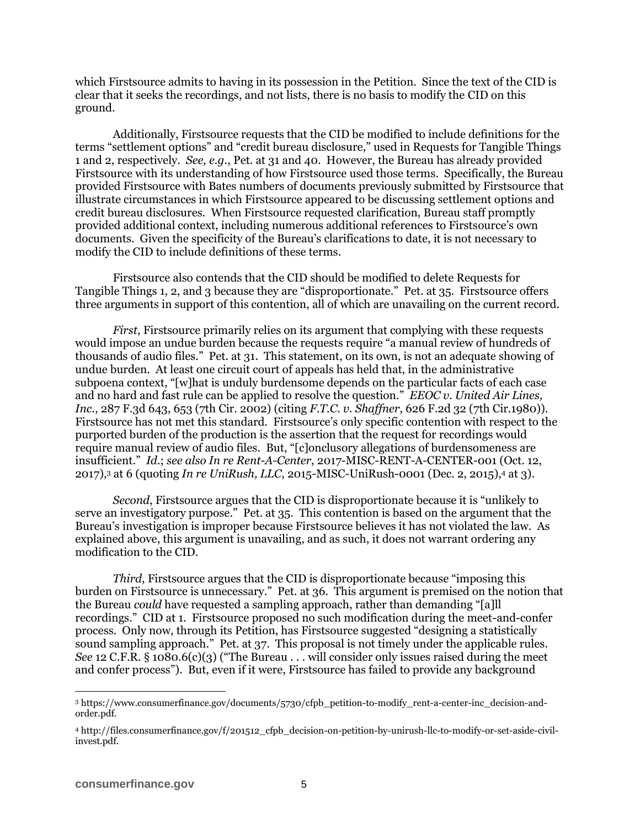which Firstsource admits to having in its possession in the Petition. Since the text of the CID is clear that it seeks the recordings, and not lists, there is no basis to modify the CID on this ground.

Additionally, Firstsource requests that the CID be modified to include definitions for the terms "settlement options" and "credit bureau disclosure," used in Requests for Tangible Things 1 and 2, respectively. *See, e.g.*, Pet. at 31 and 40. However, the Bureau has already provided Firstsource with its understanding of how Firstsource used those terms. Specifically, the Bureau provided Firstsource with Bates numbers of documents previously submitted by Firstsource that illustrate circumstances in which Firstsource appeared to be discussing settlement options and credit bureau disclosures. When Firstsource requested clarification, Bureau staff promptly provided additional context, including numerous additional references to Firstsource's own documents. Given the specificity of the Bureau's clarifications to date, it is not necessary to modify the CID to include definitions of these terms.

Firstsource also contends that the CID should be modified to delete Requests for Tangible Things 1, 2, and 3 because they are "disproportionate." Pet. at 35. Firstsource offers three arguments in support of this contention, all of which are unavailing on the current record.

*First*, First source primarily relies on its argument that complying with these requests would impose an undue burden because the requests require "a manual review of hundreds of thousands of audio files." Pet. at 31. This statement, on its own, is not an adequate showing of undue burden. At least one circuit court of appeals has held that, in the administrative subpoena context, "[w]hat is unduly burdensome depends on the particular facts of each case and no hard and fast rule can be applied to resolve the question." *EEOC v. United Air Lines, Inc.*, 287 F.3d 643, 653 (7th Cir. 2002) (citing *F.T.C. v. Shaffner*, 626 F.2d 32 (7th Cir.1980)). Firstsource has not met this standard. Firstsource's only specific contention with respect to the purported burden of the production is the assertion that the request for recordings would require manual review of audio files. But, "[c]onclusory allegations of burdensomeness are insufficient." *Id.*; *see also In re Rent-A-Center*, 2017-MISC-RENT-A-CENTER-001 (Oct. 12, 2017),<sup>3</sup> at 6 (quoting *In re UniRush, LLC*, 2015-MISC-UniRush-0001 (Dec. 2, 2015),<sup>4</sup> at 3).

*Second*, Firstsource argues that the CID is disproportionate because it is "unlikely to serve an investigatory purpose." Pet. at 35. This contention is based on the argument that the Bureau's investigation is improper because Firstsource believes it has not violated the law. As explained above, this argument is unavailing, and as such, it does not warrant ordering any modification to the CID.

*Third*, Firstsource argues that the CID is disproportionate because "imposing this burden on Firstsource is unnecessary." Pet. at 36. This argument is premised on the notion that the Bureau *could* have requested a sampling approach, rather than demanding "[a]ll recordings." CID at 1. Firstsource proposed no such modification during the meet-and-confer process. Only now, through its Petition, has Firstsource suggested "designing a statistically sound sampling approach." Pet. at 37. This proposal is not timely under the applicable rules. *See* 12 C.F.R. § 1080.6(c)(3) ("The Bureau . . . will consider only issues raised during the meet and confer process"). But, even if it were, Firstsource has failed to provide any background

<sup>3</sup> https://www.consumerfinance.gov/documents/5730/cfpb\_petition-to-modify\_rent-a-center-inc\_decision-andorder.pdf.

<sup>4</sup> http://files.consumerfinance.gov/f/201512\_cfpb\_decision-on-petition-by-unirush-llc-to-modify-or-set-aside-civilinvest.pdf.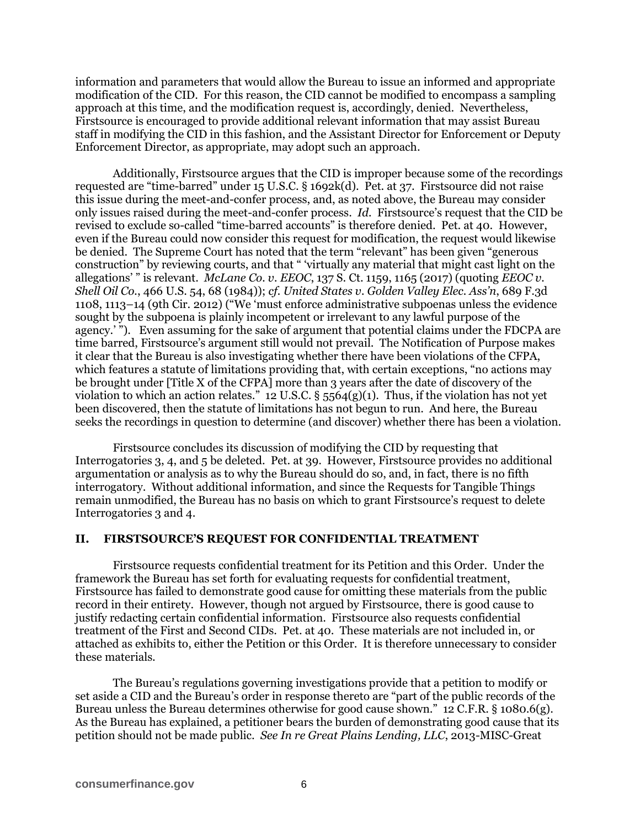information and parameters that would allow the Bureau to issue an informed and appropriate modification of the CID. For this reason, the CID cannot be modified to encompass a sampling approach at this time, and the modification request is, accordingly, denied. Nevertheless, Firstsource is encouraged to provide additional relevant information that may assist Bureau staff in modifying the CID in this fashion, and the Assistant Director for Enforcement or Deputy Enforcement Director, as appropriate, may adopt such an approach.

Additionally, Firstsource argues that the CID is improper because some of the recordings requested are "time-barred" under 15 U.S.C. § 1692k(d). Pet. at 37. Firstsource did not raise this issue during the meet-and-confer process, and, as noted above, the Bureau may consider only issues raised during the meet-and-confer process. *Id.* Firstsource's request that the CID be revised to exclude so-called "time-barred accounts" is therefore denied. Pet. at 40. However, even if the Bureau could now consider this request for modification, the request would likewise be denied. The Supreme Court has noted that the term "relevant" has been given "generous construction" by reviewing courts, and that " 'virtually any material that might cast light on the allegations' " is relevant. *McLane Co. v. EEOC*, 137 S. Ct. 1159, 1165 (2017) (quoting *EEOC v. Shell Oil Co.*, 466 U.S. 54, 68 (1984)); *cf. United States v. Golden Valley Elec. Ass'n*, 689 F.3d 1108, 1113–14 (9th Cir. 2012) ("We 'must enforce administrative subpoenas unless the evidence sought by the subpoena is plainly incompetent or irrelevant to any lawful purpose of the agency.' "). Even assuming for the sake of argument that potential claims under the FDCPA are time barred, Firstsource's argument still would not prevail. The Notification of Purpose makes it clear that the Bureau is also investigating whether there have been violations of the CFPA, which features a statute of limitations providing that, with certain exceptions, "no actions may be brought under [Title X of the CFPA] more than 3 years after the date of discovery of the violation to which an action relates." 12 U.S.C. § 5564(g)(1). Thus, if the violation has not yet been discovered, then the statute of limitations has not begun to run. And here, the Bureau seeks the recordings in question to determine (and discover) whether there has been a violation.

Firstsource concludes its discussion of modifying the CID by requesting that Interrogatories 3, 4, and 5 be deleted. Pet. at 39. However, Firstsource provides no additional argumentation or analysis as to why the Bureau should do so, and, in fact, there is no fifth interrogatory. Without additional information, and since the Requests for Tangible Things remain unmodified, the Bureau has no basis on which to grant Firstsource's request to delete Interrogatories 3 and 4.

#### **II. FIRSTSOURCE'S REQUEST FOR CONFIDENTIAL TREATMENT**

Firstsource requests confidential treatment for its Petition and this Order. Under the framework the Bureau has set forth for evaluating requests for confidential treatment, Firstsource has failed to demonstrate good cause for omitting these materials from the public record in their entirety. However, though not argued by Firstsource, there is good cause to justify redacting certain confidential information. Firstsource also requests confidential treatment of the First and Second CIDs. Pet. at 40. These materials are not included in, or attached as exhibits to, either the Petition or this Order. It is therefore unnecessary to consider these materials.

The Bureau's regulations governing investigations provide that a petition to modify or set aside a CID and the Bureau's order in response thereto are "part of the public records of the Bureau unless the Bureau determines otherwise for good cause shown." 12 C.F.R. § 1080.6(g). As the Bureau has explained, a petitioner bears the burden of demonstrating good cause that its petition should not be made public. *See In re Great Plains Lending, LLC*, 2013-MISC-Great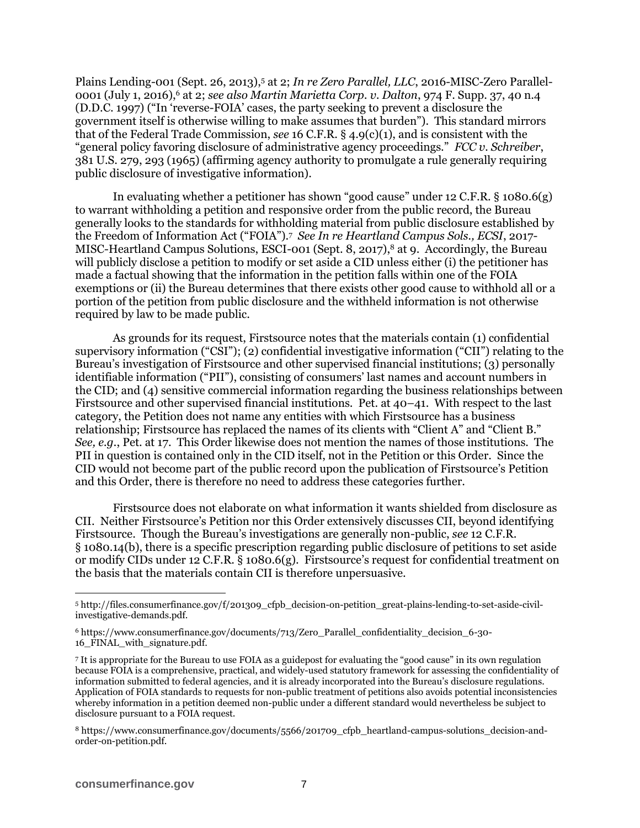Plains Lending-001 (Sept. 26, 2013),<sup>5</sup> at 2; *In re Zero Parallel, LLC*, 2016-MISC-Zero Parallel-0001 (July 1, 2016),<sup>6</sup> at 2; *see also Martin Marietta Corp. v. Dalton*, 974 F. Supp. 37, 40 n.4 (D.D.C. 1997) ("In 'reverse-FOIA' cases, the party seeking to prevent a disclosure the government itself is otherwise willing to make assumes that burden"). This standard mirrors that of the Federal Trade Commission, *see* 16 C.F.R. § 4.9(c)(1), and is consistent with the "general policy favoring disclosure of administrative agency proceedings." *FCC v. Schreiber*, 381 U.S. 279, 293 (1965) (affirming agency authority to promulgate a rule generally requiring public disclosure of investigative information).

In evaluating whether a petitioner has shown "good cause" under 12 C.F.R. § 1080.6(g) to warrant withholding a petition and responsive order from the public record, the Bureau generally looks to the standards for withholding material from public disclosure established by the Freedom of Information Act ("FOIA").<sup>7</sup> *See In re Heartland Campus Sols., ECSI*, 2017- MISC-Heartland Campus Solutions, ESCI-001 (Sept. 8, 2017),<sup>8</sup> at 9. Accordingly, the Bureau will publicly disclose a petition to modify or set aside a CID unless either (i) the petitioner has made a factual showing that the information in the petition falls within one of the FOIA exemptions or (ii) the Bureau determines that there exists other good cause to withhold all or a portion of the petition from public disclosure and the withheld information is not otherwise required by law to be made public.

As grounds for its request, Firstsource notes that the materials contain (1) confidential supervisory information ("CSI"); (2) confidential investigative information ("CII") relating to the Bureau's investigation of Firstsource and other supervised financial institutions; (3) personally identifiable information ("PII"), consisting of consumers' last names and account numbers in the CID; and (4) sensitive commercial information regarding the business relationships between Firstsource and other supervised financial institutions. Pet. at 40–41. With respect to the last category, the Petition does not name any entities with which Firstsource has a business relationship; Firstsource has replaced the names of its clients with "Client A" and "Client B." *See, e.g.*, Pet. at 17. This Order likewise does not mention the names of those institutions. The PII in question is contained only in the CID itself, not in the Petition or this Order. Since the CID would not become part of the public record upon the publication of Firstsource's Petition and this Order, there is therefore no need to address these categories further.

Firstsource does not elaborate on what information it wants shielded from disclosure as CII. Neither Firstsource's Petition nor this Order extensively discusses CII, beyond identifying Firstsource. Though the Bureau's investigations are generally non-public, *see* 12 C.F.R. § 1080.14(b), there is a specific prescription regarding public disclosure of petitions to set aside or modify CIDs under 12 C.F.R.  $\S$  1080.6(g). First source's request for confidential treatment on the basis that the materials contain CII is therefore unpersuasive.

<sup>5</sup> http://files.consumerfinance.gov/f/201309\_cfpb\_decision-on-petition\_great-plains-lending-to-set-aside-civilinvestigative-demands.pdf.

<sup>6</sup> https://www.consumerfinance.gov/documents/713/Zero\_Parallel\_confidentiality\_decision\_6-30- 16\_FINAL\_with\_signature.pdf.

<sup>7</sup> It is appropriate for the Bureau to use FOIA as a guidepost for evaluating the "good cause" in its own regulation because FOIA is a comprehensive, practical, and widely-used statutory framework for assessing the confidentiality of information submitted to federal agencies, and it is already incorporated into the Bureau's disclosure regulations. Application of FOIA standards to requests for non-public treatment of petitions also avoids potential inconsistencies whereby information in a petition deemed non-public under a different standard would nevertheless be subject to disclosure pursuant to a FOIA request.

<sup>8</sup> https://www.consumerfinance.gov/documents/5566/201709\_cfpb\_heartland-campus-solutions\_decision-andorder-on-petition.pdf.